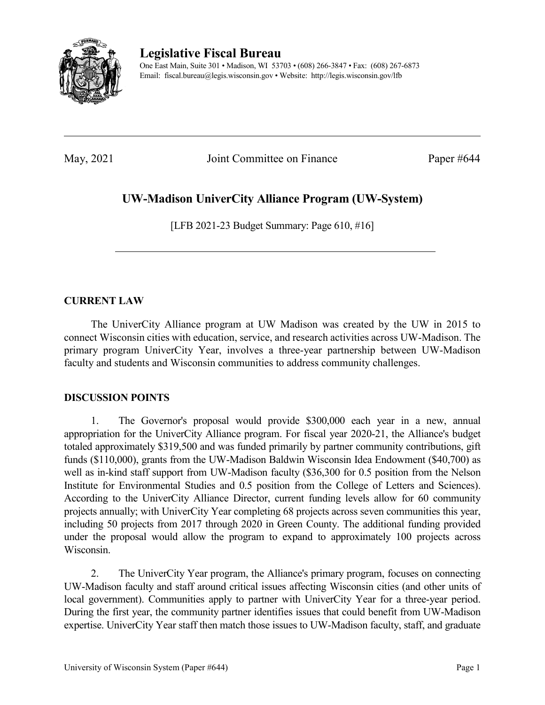

**Legislative Fiscal Bureau**

One East Main, Suite 301 • Madison, WI 53703 • (608) 266-3847 • Fax: (608) 267-6873 Email: fiscal.bureau@legis.wisconsin.gov • Website:<http://legis.wisconsin.gov/lfb>

May, 2021 Joint Committee on Finance Paper #644

# **UW-Madison UniverCity Alliance Program (UW-System)**

[LFB 2021-23 Budget Summary: Page 610, #16]

## **CURRENT LAW**

The UniverCity Alliance program at UW Madison was created by the UW in 2015 to connect Wisconsin cities with education, service, and research activities across UW-Madison. The primary program UniverCity Year, involves a three-year partnership between UW-Madison faculty and students and Wisconsin communities to address community challenges.

## **DISCUSSION POINTS**

1. The Governor's proposal would provide \$300,000 each year in a new, annual appropriation for the UniverCity Alliance program. For fiscal year 2020-21, the Alliance's budget totaled approximately \$319,500 and was funded primarily by partner community contributions, gift funds (\$110,000), grants from the UW-Madison Baldwin Wisconsin Idea Endowment (\$40,700) as well as in-kind staff support from UW-Madison faculty (\$36,300 for 0.5 position from the Nelson Institute for Environmental Studies and 0.5 position from the College of Letters and Sciences). According to the UniverCity Alliance Director, current funding levels allow for 60 community projects annually; with UniverCity Year completing 68 projects across seven communities this year, including 50 projects from 2017 through 2020 in Green County. The additional funding provided under the proposal would allow the program to expand to approximately 100 projects across Wisconsin.

2. The UniverCity Year program, the Alliance's primary program, focuses on connecting UW-Madison faculty and staff around critical issues affecting Wisconsin cities (and other units of local government). Communities apply to partner with UniverCity Year for a three-year period. During the first year, the community partner identifies issues that could benefit from UW-Madison expertise. UniverCity Year staff then match those issues to UW-Madison faculty, staff, and graduate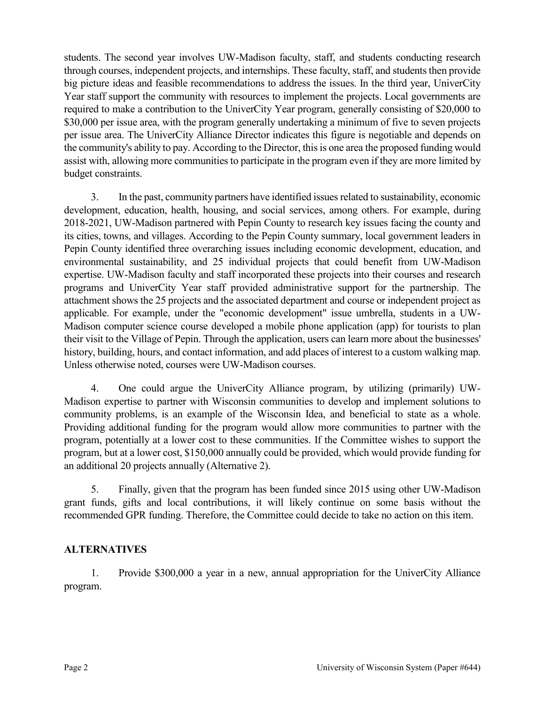students. The second year involves UW-Madison faculty, staff, and students conducting research through courses, independent projects, and internships. These faculty, staff, and students then provide big picture ideas and feasible recommendations to address the issues. In the third year, UniverCity Year staff support the community with resources to implement the projects. Local governments are required to make a contribution to the UniverCity Year program, generally consisting of \$20,000 to \$30,000 per issue area, with the program generally undertaking a minimum of five to seven projects per issue area. The UniverCity Alliance Director indicates this figure is negotiable and depends on the community's ability to pay. According to the Director, this is one area the proposed funding would assist with, allowing more communities to participate in the program even if they are more limited by budget constraints.

3. In the past, community partners have identified issues related to sustainability, economic development, education, health, housing, and social services, among others. For example, during 2018-2021, UW-Madison partnered with Pepin County to research key issues facing the county and its cities, towns, and villages. According to the Pepin County summary, local government leaders in Pepin County identified three overarching issues including economic development, education, and environmental sustainability, and 25 individual projects that could benefit from UW-Madison expertise. UW-Madison faculty and staff incorporated these projects into their courses and research programs and UniverCity Year staff provided administrative support for the partnership. The attachment shows the 25 projects and the associated department and course or independent project as applicable. For example, under the "economic development" issue umbrella, students in a UW-Madison computer science course developed a mobile phone application (app) for tourists to plan their visit to the Village of Pepin. Through the application, users can learn more about the businesses' history, building, hours, and contact information, and add places of interest to a custom walking map. Unless otherwise noted, courses were UW-Madison courses.

4. One could argue the UniverCity Alliance program, by utilizing (primarily) UW-Madison expertise to partner with Wisconsin communities to develop and implement solutions to community problems, is an example of the Wisconsin Idea, and beneficial to state as a whole. Providing additional funding for the program would allow more communities to partner with the program, potentially at a lower cost to these communities. If the Committee wishes to support the program, but at a lower cost, \$150,000 annually could be provided, which would provide funding for an additional 20 projects annually (Alternative 2).

5. Finally, given that the program has been funded since 2015 using other UW-Madison grant funds, gifts and local contributions, it will likely continue on some basis without the recommended GPR funding. Therefore, the Committee could decide to take no action on this item.

## **ALTERNATIVES**

1. Provide \$300,000 a year in a new, annual appropriation for the UniverCity Alliance program.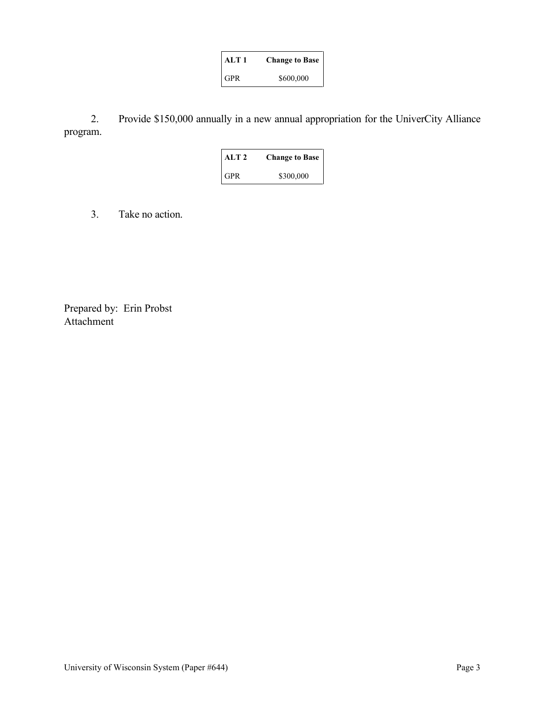| ALT 1      | <b>Change to Base</b> |
|------------|-----------------------|
| <b>GPR</b> | \$600,000             |

2. Provide \$150,000 annually in a new annual appropriation for the UniverCity Alliance program.

| ALT 2      | <b>Change to Base</b> |
|------------|-----------------------|
| <b>GPR</b> | \$300,000             |

3. Take no action.

Prepared by: Erin Probst Attachment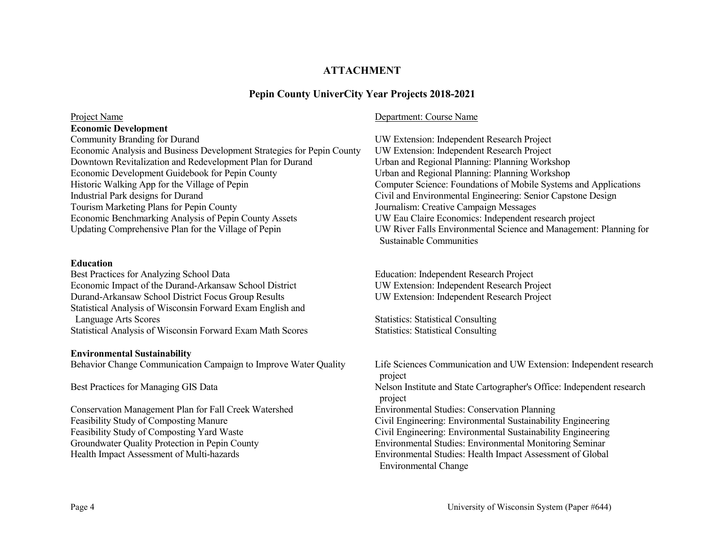## **ATTACHMENT**

## **Pepin County UniverCity Year Projects 2018-2021**

### **Economic Development**

Community Branding for Durand UW Extension: Independent Research Project Economic Analysis and Business Development Strategies for Pepin County UW Extension: Independent Research Project Downtown Revitalization and Redevelopment Plan for Durand Urban and Regional Planning: Planning Workshop Economic Development Guidebook for Pepin County Urban and Regional Planning: Planning Workshop Historic Walking App for the Village of Pepin Computer Science: Foundations of Mobile Systems and Applications Industrial Park designs for Durand Civil and Environmental Engineering: Senior Capstone Design Tourism Marketing Plans for Pepin County<br>
Economic Benchmarking Analysis of Pepin County Assets<br>
UW Eau Claire Economics: Independent research project Economic Benchmarking Analysis of Pepin County Assets<br>Updating Comprehensive Plan for the Village of Pepin

### **Education**

Best Practices for Analyzing School Data Education: Independent Research Project<br>Economic Impact of the Durand-Arkansaw School District UW Extension: Independent Research Project Economic Impact of the Durand-Arkansaw School District Durand-Arkansaw School District Focus Group Results UW Extension: Independent Research Project Statistical Analysis of Wisconsin Forward Exam English and Language Arts Scores Statistics: Statistics: Statistical Consulting Statistical Analysis of Wisconsin Forward Exam Math Scores Statistics: Statistical Consulting

### **Environmental Sustainability**

Conservation Management Plan for Fall Creek Watershed Environmental Studies: Conservation Planning

### Project Name Department: Course Name

UW River Falls Environmental Science and Management: Planning for Sustainable Communities

Behavior Change Communication Campaign to Improve Water Quality Life Sciences Communication and UW Extension: Independent research project Best Practices for Managing GIS Data Nelson Institute and State Cartographer's Office: Independent research project Feasibility Study of Composting Manure Civil Engineering: Environmental Sustainability Engineering Feasibility Study of Composting Yard Waste Civil Engineering: Environmental Sustainability Engineering Groundwater Quality Protection in Pepin County **Environmental Studies: Environmental Monitoring Seminar**<br>Health Impact Assessment of Multi-hazards **Environmental Studies: Health Impact Assessment** of Global Environmental Studies: Health Impact Assessment of Global Environmental Change